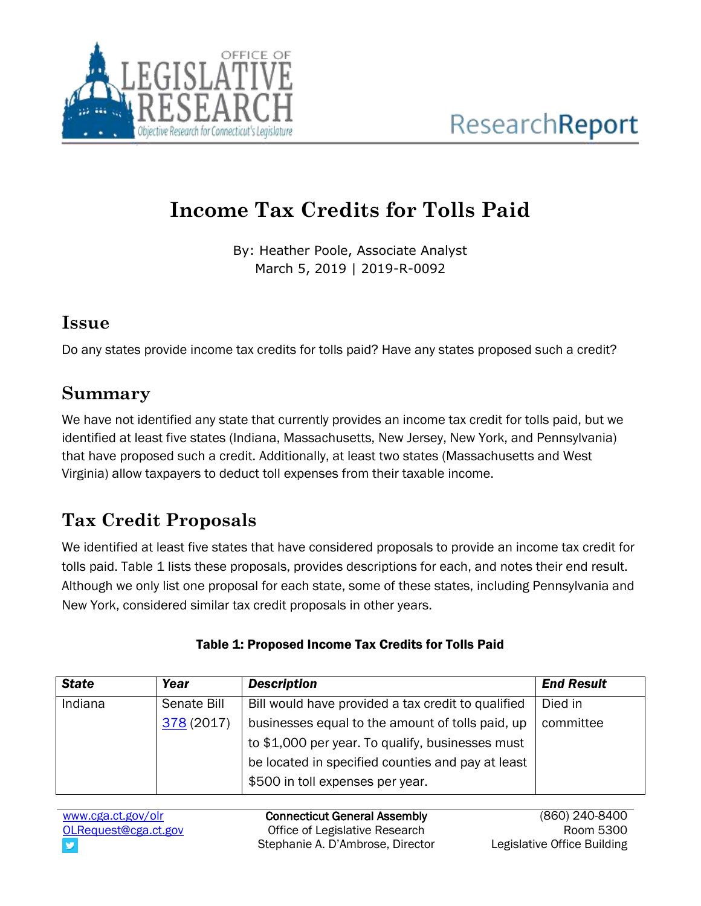

# **Income Tax Credits for Tolls Paid**

By: Heather Poole, Associate Analyst March 5, 2019 | 2019-R-0092

#### **Issue**

Do any states provide income tax credits for tolls paid? Have any states proposed such a credit?

## **Summary**

We have not identified any state that currently provides an income tax credit for tolls paid, but we identified at least five states (Indiana, Massachusetts, New Jersey, New York, and Pennsylvania) that have proposed such a credit. Additionally, at least two states (Massachusetts and West Virginia) allow taxpayers to deduct toll expenses from their taxable income.

# **Tax Credit Proposals**

We identified at least five states that have considered proposals to provide an income tax credit for tolls paid. Table 1 lists these proposals, provides descriptions for each, and notes their end result. Although we only list one proposal for each state, some of these states, including Pennsylvania and New York, considered similar tax credit proposals in other years.

| <b>State</b> | Year        | <b>Description</b>                                 | <b>End Result</b> |
|--------------|-------------|----------------------------------------------------|-------------------|
| Indiana      | Senate Bill | Bill would have provided a tax credit to qualified | Died in           |
|              | 378 (2017)  | businesses equal to the amount of tolls paid, up   | committee         |
|              |             | to \$1,000 per year. To qualify, businesses must   |                   |
|              |             | be located in specified counties and pay at least  |                   |
|              |             | \$500 in toll expenses per year.                   |                   |

#### Table 1: Proposed Income Tax Credits for Tolls Paid

[www.cga.ct.gov/olr](http://www.cga.ct.gov/olr) [OLRequest@cga.ct.gov](mailto:OLRequest@cga.ct.gov)

Connecticut General Assembly Office of Legislative Research Stephanie A. D'Ambrose, Director

(860) 240-8400 Room 5300 Legislative Office Building